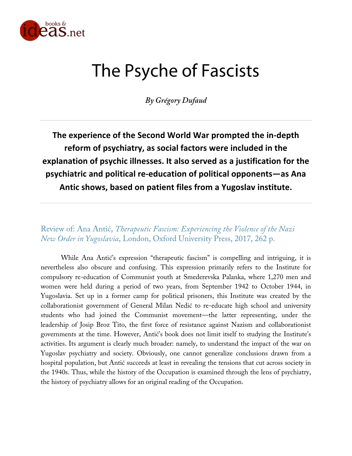

# The Psyche of Fascists

*By Grégory Dufaud*

**The experience of the Second World War prompted the in-depth reform of psychiatry, as social factors were included in the explanation of psychic illnesses. It also served as a justification for the psychiatric and political re-education of political opponents—as Ana Antic shows, based on patient files from a Yugoslav institute.**

Review of: Ana Antić, *Therapeutic Fascism: Experiencing the Violence of the Nazi New Order in Yugoslavia*, London, Oxford University Press, 2017, 262 p.

While Ana Antić's expression "therapeutic fascism" is compelling and intriguing, it is nevertheless also obscure and confusing. This expression primarily refers to the Institute for compulsory re-education of Communist youth at Smederevska Palanka, where 1,270 men and women were held during a period of two years, from September 1942 to October 1944, in Yugoslavia. Set up in a former camp for political prisoners, this Institute was created by the collaborationist government of General Milan Nedić to re-educate high school and university students who had joined the Communist movement—the latter representing, under the leadership of Josip Broz Tito, the first force of resistance against Nazism and collaborationist governments at the time. However, Antić's book does not limit itself to studying the Institute's activities. Its argument is clearly much broader: namely, to understand the impact of the war on Yugoslav psychiatry and society. Obviously, one cannot generalize conclusions drawn from a hospital population, but Antić succeeds at least in revealing the tensions that cut across society in the 1940s. Thus, while the history of the Occupation is examined through the lens of psychiatry, the history of psychiatry allows for an original reading of the Occupation.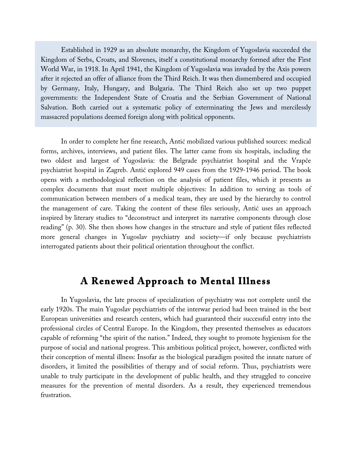Established in 1929 as an absolute monarchy, the Kingdom of Yugoslavia succeeded the Kingdom of Serbs, Croats, and Slovenes, itself a constitutional monarchy formed after the First World War, in 1918. In April 1941, the Kingdom of Yugoslavia was invaded by the Axis powers after it rejected an offer of alliance from the Third Reich. It was then dismembered and occupied by Germany, Italy, Hungary, and Bulgaria. The Third Reich also set up two puppet governments: the Independent State of Croatia and the Serbian Government of National Salvation. Both carried out a systematic policy of exterminating the Jews and mercilessly massacred populations deemed foreign along with political opponents.

In order to complete her fine research, Antić mobilized various published sources: medical forms, archives, interviews, and patient files. The latter came from six hospitals, including the two oldest and largest of Yugoslavia: the Belgrade psychiatrist hospital and the Vrapče psychiatrist hospital in Zagreb. Antić explored 949 cases from the 1929-1946 period. The book opens with a methodological reflection on the analysis of patient files, which it presents as complex documents that must meet multiple objectives: In addition to serving as tools of communication between members of a medical team, they are used by the hierarchy to control the management of care. Taking the content of these files seriously, Antić uses an approach inspired by literary studies to "deconstruct and interpret its narrative components through close reading" (p. 30). She then shows how changes in the structure and style of patient files reflected more general changes in Yugoslav psychiatry and society—if only because psychiatrists interrogated patients about their political orientation throughout the conflict.

### **A Renewed Approach to Mental Illness**

In Yugoslavia, the late process of specialization of psychiatry was not complete until the early 1920s. The main Yugoslav psychiatrists of the interwar period had been trained in the best European universities and research centers, which had guaranteed their successful entry into the professional circles of Central Europe. In the Kingdom, they presented themselves as educators capable of reforming "the spirit of the nation." Indeed, they sought to promote hygienism for the purpose of social and national progress. This ambitious political project, however, conflicted with their conception of mental illness: Insofar as the biological paradigm posited the innate nature of disorders, it limited the possibilities of therapy and of social reform. Thus, psychiatrists were unable to truly participate in the development of public health, and they struggled to conceive measures for the prevention of mental disorders. As a result, they experienced tremendous frustration.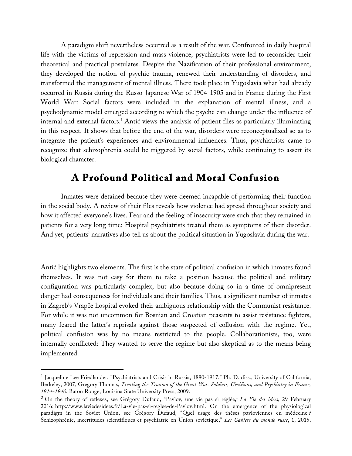A paradigm shift nevertheless occurred as a result of the war. Confronted in daily hospital life with the victims of repression and mass violence, psychiatrists were led to reconsider their theoretical and practical postulates. Despite the Nazification of their professional environment, they developed the notion of psychic trauma, renewed their understanding of disorders, and transformed the management of mental illness. There took place in Yugoslavia what had already occurred in Russia during the Russo-Japanese War of 1904-1905 and in France during the First World War: Social factors were included in the explanation of mental illness, and a psychodynamic model emerged according to which the psyche can change under the influence of internal and external factors.1 Antić views the analysis of patient files as particularly illuminating in this respect. It shows that before the end of the war, disorders were reconceptualized so as to integrate the patient's experiences and environmental influences. Thus, psychiatrists came to recognize that schizophrenia could be triggered by social factors, while continuing to assert its biological character.

## **A Profound Political and Moral Confusion**

Inmates were detained because they were deemed incapable of performing their function in the social body. A review of their files reveals how violence had spread throughout society and how it affected everyone's lives. Fear and the feeling of insecurity were such that they remained in patients for a very long time: Hospital psychiatrists treated them as symptoms of their disorder. And yet, patients' narratives also tell us about the political situation in Yugoslavia during the war.

Antić highlights two elements. The first is the state of political confusion in which inmates found themselves. It was not easy for them to take a position because the political and military configuration was particularly complex, but also because doing so in a time of omnipresent danger had consequences for individuals and their families. Thus, a significant number of inmates in Zagreb's Vrapče hospital evoked their ambiguous relationship with the Communist resistance. For while it was not uncommon for Bosnian and Croatian peasants to assist resistance fighters, many feared the latter's reprisals against those suspected of collusion with the regime. Yet, political confusion was by no means restricted to the people. Collaborationists, too, were internally conflicted: They wanted to serve the regime but also skeptical as to the means being implemented.

 

<sup>1</sup> Jacqueline Lee Friedlander, "Psychiatrists and Crisis in Russia, 1880-1917," Ph. D. diss., University of California, Berkeley, 2007; Gregory Thomas, *Treating the Trauma of the Great War: Soldiers, Civilians, and Psychiatry in France, 1914-1940*, Baton Rouge, Louisina State University Press, 2009.

<sup>2</sup> On the theory of reflexes, see Grégory Dufaud, "Pavlov, une vie pas si réglée," *La Vie des idées*, 29 February 2016: http://www.laviedesidees.fr/La-vie-pas-si-reglee-de-Pavlov.html. On the emergence of the physiological paradigm in the Soviet Union, see Grégory Dufaud, "Quel usage des thèses pavloviennes en médecine ? Schizophrénie, incertitudes scientifiques et psychiatrie en Union soviétique," *Les Cahiers du monde russe*, 1, 2015,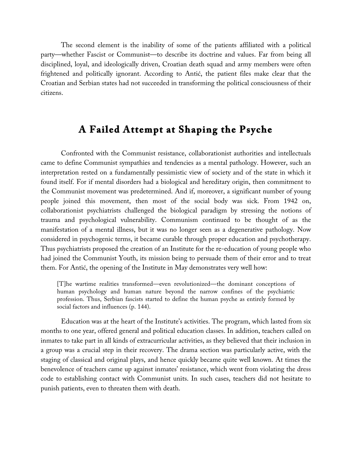The second element is the inability of some of the patients affiliated with a political party—whether Fascist or Communist—to describe its doctrine and values. Far from being all disciplined, loyal, and ideologically driven, Croatian death squad and army members were often frightened and politically ignorant. According to Antić, the patient files make clear that the Croatian and Serbian states had not succeeded in transforming the political consciousness of their citizens.

## **A Failed Attempt at Shaping the Psyche**

Confronted with the Communist resistance, collaborationist authorities and intellectuals came to define Communist sympathies and tendencies as a mental pathology. However, such an interpretation rested on a fundamentally pessimistic view of society and of the state in which it found itself. For if mental disorders had a biological and hereditary origin, then commitment to the Communist movement was predetermined. And if, moreover, a significant number of young people joined this movement, then most of the social body was sick. From 1942 on, collaborationist psychiatrists challenged the biological paradigm by stressing the notions of trauma and psychological vulnerability. Communism continued to be thought of as the manifestation of a mental illness, but it was no longer seen as a degenerative pathology. Now considered in psychogenic terms, it became curable through proper education and psychotherapy. Thus psychiatrists proposed the creation of an Institute for the re-education of young people who had joined the Communist Youth, its mission being to persuade them of their error and to treat them. For Antić, the opening of the Institute in May demonstrates very well how:

[T]he wartime realities transformed—even revolutionized—the dominant conceptions of human psychology and human nature beyond the narrow confines of the psychiatric profession. Thus, Serbian fascists started to define the human psyche as entirely formed by social factors and influences (p. 144).

Education was at the heart of the Institute's activities. The program, which lasted from six months to one year, offered general and political education classes. In addition, teachers called on inmates to take part in all kinds of extracurricular activities, as they believed that their inclusion in a group was a crucial step in their recovery. The drama section was particularly active, with the staging of classical and original plays, and hence quickly became quite well known. At times the benevolence of teachers came up against inmates' resistance, which went from violating the dress code to establishing contact with Communist units. In such cases, teachers did not hesitate to punish patients, even to threaten them with death.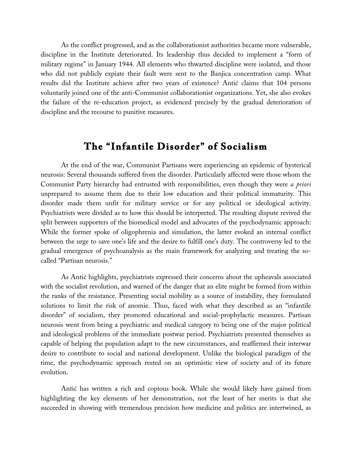As the conflict progressed, and as the collaborationist authorities became more vulnerable, discipline in the Institute deteriorated. Its leadership thus decided to implement a "form of military regime" in January 1944. All elements who thwarted discipline were isolated, and those who did not publicly expiate their fault were sent to the Banjica concentration camp. What results did the Institute achieve after two years of existence? Antić claims that 104 persons voluntarily joined one of the anti-Communist collaborationist organizations. Yet, she also evokes the failure of the re-education project, as evidenced precisely by the gradual deterioration of discipline and the recourse to punitive measures.

#### **The "Infantile Disorder" of Socialism**

At the end of the war, Communist Partisans were experiencing an epidemic of hysterical neurosis: Several thousands suffered from the disorder. Particularly affected were those whom the Communist Party hierarchy had entrusted with responsibilities, even though they were *a priori* unprepared to assume them due to their low education and their political immaturity. This disorder made them unfit for military service or for any political or ideological activity. Psychiatrists were divided as to how this should be interpreted. The resulting dispute revived the split between supporters of the biomedical model and advocates of the psychodynamic approach: While the former spoke of oligophrenia and simulation, the latter evoked an internal conflict between the urge to save one's life and the desire to fulfill one's duty. The controversy led to the gradual emergence of psychoanalysis as the main framework for analyzing and treating the socalled "Partisan neurosis."

As Antić highlights, psychiatrists expressed their concerns about the upheavals associated with the socialist revolution, and warned of the danger that an elite might be formed from within the ranks of the resistance. Presenting social mobility as a source of instability, they formulated solutions to limit the risk of anomie. Thus, faced with what they described as an "infantile disorder" of socialism, they promoted educational and social-prophylactic measures. Partisan neurosis went from being a psychiatric and medical category to being one of the major political and ideological problems of the immediate postwar period. Psychiatrists presented themselves as capable of helping the population adapt to the new circumstances, and reaffirmed their interwar desire to contribute to social and national development. Unlike the biological paradigm of the time, the psychodynamic approach rested on an optimistic view of society and of its future evolution.

Antić has written a rich and copious book. While she would likely have gained from highlighting the key elements of her demonstration, not the least of her merits is that she succeeded in showing with tremendous precision how medicine and politics are intertwined, as